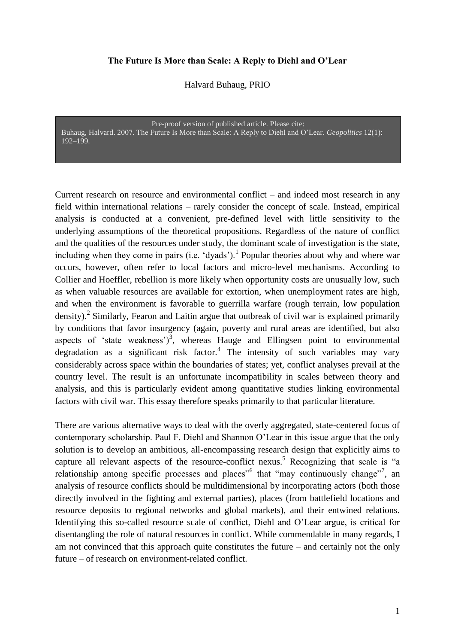## **The Future Is More than Scale: A Reply to Diehl and O'Lear**

Halvard Buhaug, PRIO

Pre-proof version of published article. Please cite: Buhaug, Halvard. 2007. The Future Is More than Scale: A Reply to Diehl and O'Lear. *Geopolitics* 12(1): 192–199.

Current research on resource and environmental conflict – and indeed most research in any field within international relations – rarely consider the concept of scale. Instead, empirical analysis is conducted at a convenient, pre-defined level with little sensitivity to the underlying assumptions of the theoretical propositions. Regardless of the nature of conflict and the qualities of the resources under study, the dominant scale of investigation is the state, including when they come in pairs (i.e. 'dyads').<sup>1</sup> Popular theories about why and where war occurs, however, often refer to local factors and micro-level mechanisms. According to Collier and Hoeffler, rebellion is more likely when opportunity costs are unusually low, such as when valuable resources are available for extortion, when unemployment rates are high, and when the environment is favorable to guerrilla warfare (rough terrain, low population density).<sup>2</sup> Similarly, Fearon and Laitin argue that outbreak of civil war is explained primarily by conditions that favor insurgency (again, poverty and rural areas are identified, but also aspects of 'state weakness')<sup>3</sup>, whereas Hauge and Ellingsen point to environmental degradation as a significant risk factor. $4$  The intensity of such variables may vary considerably across space within the boundaries of states; yet, conflict analyses prevail at the country level. The result is an unfortunate incompatibility in scales between theory and analysis, and this is particularly evident among quantitative studies linking environmental factors with civil war. This essay therefore speaks primarily to that particular literature.

There are various alternative ways to deal with the overly aggregated, state-centered focus of contemporary scholarship. Paul F. Diehl and Shannon O'Lear in this issue argue that the only solution is to develop an ambitious, all-encompassing research design that explicitly aims to capture all relevant aspects of the resource-conflict nexus.<sup>5</sup> Recognizing that scale is "a relationship among specific processes and places<sup> $10$ </sup> that "may continuously change"<sup>7</sup>, an analysis of resource conflicts should be multidimensional by incorporating actors (both those directly involved in the fighting and external parties), places (from battlefield locations and resource deposits to regional networks and global markets), and their entwined relations. Identifying this so-called resource scale of conflict, Diehl and O'Lear argue, is critical for disentangling the role of natural resources in conflict. While commendable in many regards, I am not convinced that this approach quite constitutes the future – and certainly not the only future – of research on environment-related conflict.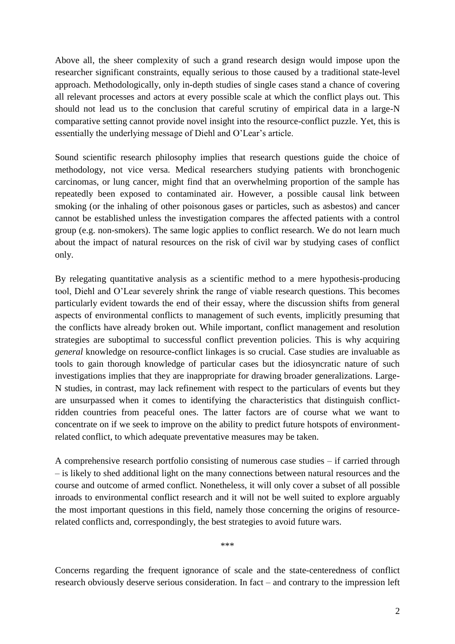Above all, the sheer complexity of such a grand research design would impose upon the researcher significant constraints, equally serious to those caused by a traditional state-level approach. Methodologically, only in-depth studies of single cases stand a chance of covering all relevant processes and actors at every possible scale at which the conflict plays out. This should not lead us to the conclusion that careful scrutiny of empirical data in a large-N comparative setting cannot provide novel insight into the resource-conflict puzzle. Yet, this is essentially the underlying message of Diehl and O'Lear's article.

Sound scientific research philosophy implies that research questions guide the choice of methodology, not vice versa. Medical researchers studying patients with bronchogenic carcinomas, or lung cancer, might find that an overwhelming proportion of the sample has repeatedly been exposed to contaminated air. However, a possible causal link between smoking (or the inhaling of other poisonous gases or particles, such as asbestos) and cancer cannot be established unless the investigation compares the affected patients with a control group (e.g. non-smokers). The same logic applies to conflict research. We do not learn much about the impact of natural resources on the risk of civil war by studying cases of conflict only.

By relegating quantitative analysis as a scientific method to a mere hypothesis-producing tool, Diehl and O'Lear severely shrink the range of viable research questions. This becomes particularly evident towards the end of their essay, where the discussion shifts from general aspects of environmental conflicts to management of such events, implicitly presuming that the conflicts have already broken out. While important, conflict management and resolution strategies are suboptimal to successful conflict prevention policies. This is why acquiring *general* knowledge on resource-conflict linkages is so crucial. Case studies are invaluable as tools to gain thorough knowledge of particular cases but the idiosyncratic nature of such investigations implies that they are inappropriate for drawing broader generalizations. Large-N studies, in contrast, may lack refinement with respect to the particulars of events but they are unsurpassed when it comes to identifying the characteristics that distinguish conflictridden countries from peaceful ones. The latter factors are of course what we want to concentrate on if we seek to improve on the ability to predict future hotspots of environmentrelated conflict, to which adequate preventative measures may be taken.

A comprehensive research portfolio consisting of numerous case studies – if carried through – is likely to shed additional light on the many connections between natural resources and the course and outcome of armed conflict. Nonetheless, it will only cover a subset of all possible inroads to environmental conflict research and it will not be well suited to explore arguably the most important questions in this field, namely those concerning the origins of resourcerelated conflicts and, correspondingly, the best strategies to avoid future wars.

\*\*\*

Concerns regarding the frequent ignorance of scale and the state-centeredness of conflict research obviously deserve serious consideration. In fact – and contrary to the impression left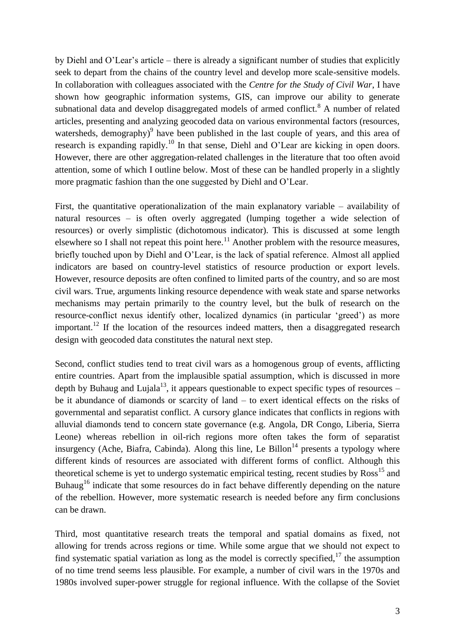by Diehl and O'Lear's article – there is already a significant number of studies that explicitly seek to depart from the chains of the country level and develop more scale-sensitive models. In collaboration with colleagues associated with the *Centre for the Study of Civil War*, I have shown how geographic information systems, GIS, can improve our ability to generate subnational data and develop disaggregated models of armed conflict.<sup>8</sup> A number of related articles, presenting and analyzing geocoded data on various environmental factors (resources, watersheds, demography) $9$  have been published in the last couple of years, and this area of research is expanding rapidly.<sup>10</sup> In that sense, Diehl and O'Lear are kicking in open doors. However, there are other aggregation-related challenges in the literature that too often avoid attention, some of which I outline below. Most of these can be handled properly in a slightly more pragmatic fashion than the one suggested by Diehl and O'Lear.

First, the quantitative operationalization of the main explanatory variable – availability of natural resources – is often overly aggregated (lumping together a wide selection of resources) or overly simplistic (dichotomous indicator). This is discussed at some length elsewhere so I shall not repeat this point here.<sup>11</sup> Another problem with the resource measures, briefly touched upon by Diehl and O'Lear, is the lack of spatial reference. Almost all applied indicators are based on country-level statistics of resource production or export levels. However, resource deposits are often confined to limited parts of the country, and so are most civil wars. True, arguments linking resource dependence with weak state and sparse networks mechanisms may pertain primarily to the country level, but the bulk of research on the resource-conflict nexus identify other, localized dynamics (in particular 'greed') as more important.<sup>12</sup> If the location of the resources indeed matters, then a disaggregated research design with geocoded data constitutes the natural next step.

Second, conflict studies tend to treat civil wars as a homogenous group of events, afflicting entire countries. Apart from the implausible spatial assumption, which is discussed in more depth by Buhaug and Lujala<sup>13</sup>, it appears questionable to expect specific types of resources – be it abundance of diamonds or scarcity of land – to exert identical effects on the risks of governmental and separatist conflict. A cursory glance indicates that conflicts in regions with alluvial diamonds tend to concern state governance (e.g. Angola, DR Congo, Liberia, Sierra Leone) whereas rebellion in oil-rich regions more often takes the form of separatist insurgency (Ache, Biafra, Cabinda). Along this line, Le Billon<sup>14</sup> presents a typology where different kinds of resources are associated with different forms of conflict. Although this theoretical scheme is yet to undergo systematic empirical testing, recent studies by  $\text{Ross}^{15}$  and Buhaug<sup>16</sup> indicate that some resources do in fact behave differently depending on the nature of the rebellion. However, more systematic research is needed before any firm conclusions can be drawn.

Third, most quantitative research treats the temporal and spatial domains as fixed, not allowing for trends across regions or time. While some argue that we should not expect to find systematic spatial variation as long as the model is correctly specified,  $17$  the assumption of no time trend seems less plausible. For example, a number of civil wars in the 1970s and 1980s involved super-power struggle for regional influence. With the collapse of the Soviet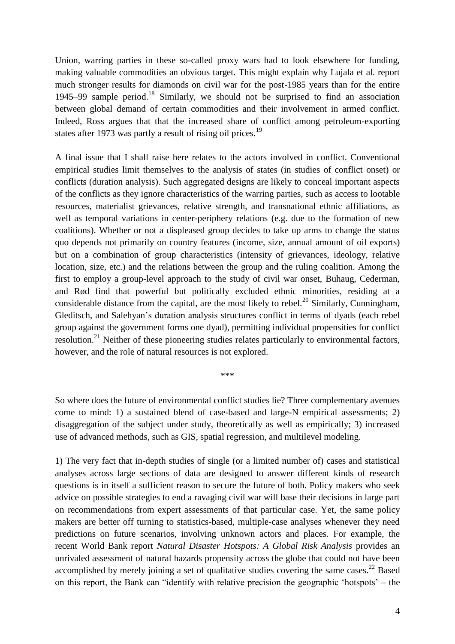Union, warring parties in these so-called proxy wars had to look elsewhere for funding, making valuable commodities an obvious target. This might explain why Lujala et al. report much stronger results for diamonds on civil war for the post-1985 years than for the entire 1945–99 sample period.<sup>18</sup> Similarly, we should not be surprised to find an association between global demand of certain commodities and their involvement in armed conflict. Indeed, Ross argues that that the increased share of conflict among petroleum-exporting states after 1973 was partly a result of rising oil prices.<sup>19</sup>

A final issue that I shall raise here relates to the actors involved in conflict. Conventional empirical studies limit themselves to the analysis of states (in studies of conflict onset) or conflicts (duration analysis). Such aggregated designs are likely to conceal important aspects of the conflicts as they ignore characteristics of the warring parties, such as access to lootable resources, materialist grievances, relative strength, and transnational ethnic affiliations, as well as temporal variations in center-periphery relations (e.g. due to the formation of new coalitions). Whether or not a displeased group decides to take up arms to change the status quo depends not primarily on country features (income, size, annual amount of oil exports) but on a combination of group characteristics (intensity of grievances, ideology, relative location, size, etc.) and the relations between the group and the ruling coalition. Among the first to employ a group-level approach to the study of civil war onset, Buhaug, Cederman, and Rød find that powerful but politically excluded ethnic minorities, residing at a considerable distance from the capital, are the most likely to rebel.<sup>20</sup> Similarly, Cunningham, Gleditsch, and Salehyan's duration analysis structures conflict in terms of dyads (each rebel group against the government forms one dyad), permitting individual propensities for conflict resolution.<sup>21</sup> Neither of these pioneering studies relates particularly to environmental factors, however, and the role of natural resources is not explored.

\*\*\*

So where does the future of environmental conflict studies lie? Three complementary avenues come to mind: 1) a sustained blend of case-based and large-N empirical assessments; 2) disaggregation of the subject under study, theoretically as well as empirically; 3) increased use of advanced methods, such as GIS, spatial regression, and multilevel modeling.

1) The very fact that in-depth studies of single (or a limited number of) cases and statistical analyses across large sections of data are designed to answer different kinds of research questions is in itself a sufficient reason to secure the future of both. Policy makers who seek advice on possible strategies to end a ravaging civil war will base their decisions in large part on recommendations from expert assessments of that particular case. Yet, the same policy makers are better off turning to statistics-based, multiple-case analyses whenever they need predictions on future scenarios, involving unknown actors and places. For example, the recent World Bank report *Natural Disaster Hotspots: A Global Risk Analysis* provides an unrivaled assessment of natural hazards propensity across the globe that could not have been accomplished by merely joining a set of qualitative studies covering the same cases.<sup>22</sup> Based on this report, the Bank can "identify with relative precision the geographic 'hotspots' – the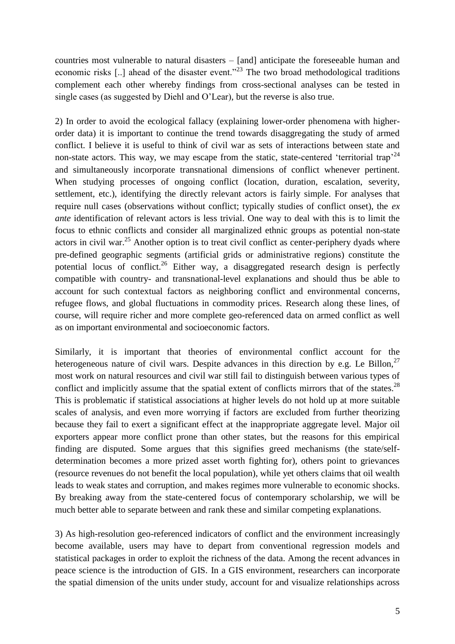countries most vulnerable to natural disasters – [and] anticipate the foreseeable human and economic risks  $\lceil$ ...] ahead of the disaster event.<sup>223</sup> The two broad methodological traditions complement each other whereby findings from cross-sectional analyses can be tested in single cases (as suggested by Diehl and O'Lear), but the reverse is also true.

2) In order to avoid the ecological fallacy (explaining lower-order phenomena with higherorder data) it is important to continue the trend towards disaggregating the study of armed conflict. I believe it is useful to think of civil war as sets of interactions between state and non-state actors. This way, we may escape from the static, state-centered 'territorial trap'<sup>24</sup> and simultaneously incorporate transnational dimensions of conflict whenever pertinent. When studying processes of ongoing conflict (location, duration, escalation, severity, settlement, etc.), identifying the directly relevant actors is fairly simple. For analyses that require null cases (observations without conflict; typically studies of conflict onset), the *ex ante* identification of relevant actors is less trivial. One way to deal with this is to limit the focus to ethnic conflicts and consider all marginalized ethnic groups as potential non-state actors in civil war.<sup>25</sup> Another option is to treat civil conflict as center-periphery dyads where pre-defined geographic segments (artificial grids or administrative regions) constitute the potential locus of conflict.<sup>26</sup> Either way, a disaggregated research design is perfectly compatible with country- and transnational-level explanations and should thus be able to account for such contextual factors as neighboring conflict and environmental concerns, refugee flows, and global fluctuations in commodity prices. Research along these lines, of course, will require richer and more complete geo-referenced data on armed conflict as well as on important environmental and socioeconomic factors.

Similarly, it is important that theories of environmental conflict account for the heterogeneous nature of civil wars. Despite advances in this direction by e.g. Le Billon,  $27$ most work on natural resources and civil war still fail to distinguish between various types of conflict and implicitly assume that the spatial extent of conflicts mirrors that of the states.<sup>28</sup> This is problematic if statistical associations at higher levels do not hold up at more suitable scales of analysis, and even more worrying if factors are excluded from further theorizing because they fail to exert a significant effect at the inappropriate aggregate level. Major oil exporters appear more conflict prone than other states, but the reasons for this empirical finding are disputed. Some argues that this signifies greed mechanisms (the state/selfdetermination becomes a more prized asset worth fighting for), others point to grievances (resource revenues do not benefit the local population), while yet others claims that oil wealth leads to weak states and corruption, and makes regimes more vulnerable to economic shocks. By breaking away from the state-centered focus of contemporary scholarship, we will be much better able to separate between and rank these and similar competing explanations.

3) As high-resolution geo-referenced indicators of conflict and the environment increasingly become available, users may have to depart from conventional regression models and statistical packages in order to exploit the richness of the data. Among the recent advances in peace science is the introduction of GIS. In a GIS environment, researchers can incorporate the spatial dimension of the units under study, account for and visualize relationships across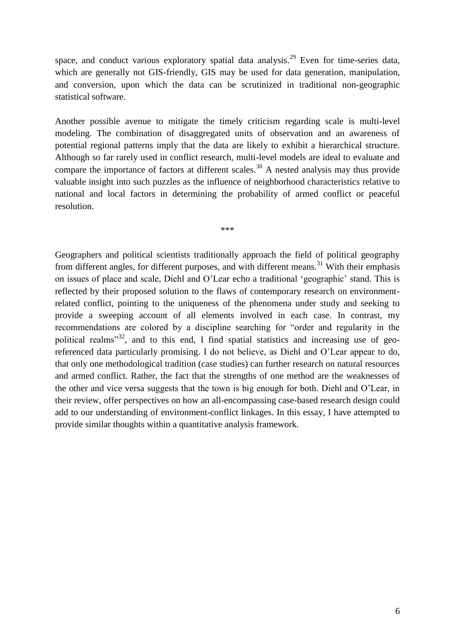space, and conduct various exploratory spatial data analysis.<sup>29</sup> Even for time-series data, which are generally not GIS-friendly, GIS may be used for data generation, manipulation, and conversion, upon which the data can be scrutinized in traditional non-geographic statistical software.

Another possible avenue to mitigate the timely criticism regarding scale is multi-level modeling. The combination of disaggregated units of observation and an awareness of potential regional patterns imply that the data are likely to exhibit a hierarchical structure. Although so far rarely used in conflict research, multi-level models are ideal to evaluate and compare the importance of factors at different scales.<sup>30</sup> A nested analysis may thus provide valuable insight into such puzzles as the influence of neighborhood characteristics relative to national and local factors in determining the probability of armed conflict or peaceful resolution.

\*\*\*

Geographers and political scientists traditionally approach the field of political geography from different angles, for different purposes, and with different means.<sup>31</sup> With their emphasis on issues of place and scale, Diehl and O'Lear echo a traditional 'geographic' stand. This is reflected by their proposed solution to the flaws of contemporary research on environmentrelated conflict, pointing to the uniqueness of the phenomena under study and seeking to provide a sweeping account of all elements involved in each case. In contrast, my recommendations are colored by a discipline searching for "order and regularity in the political realms<sup> $32$ </sup>, and to this end. I find spatial statistics and increasing use of georeferenced data particularly promising. I do not believe, as Diehl and O'Lear appear to do, that only one methodological tradition (case studies) can further research on natural resources and armed conflict. Rather, the fact that the strengths of one method are the weaknesses of the other and vice versa suggests that the town is big enough for both. Diehl and O'Lear, in their review, offer perspectives on how an all-encompassing case-based research design could add to our understanding of environment-conflict linkages. In this essay, I have attempted to provide similar thoughts within a quantitative analysis framework.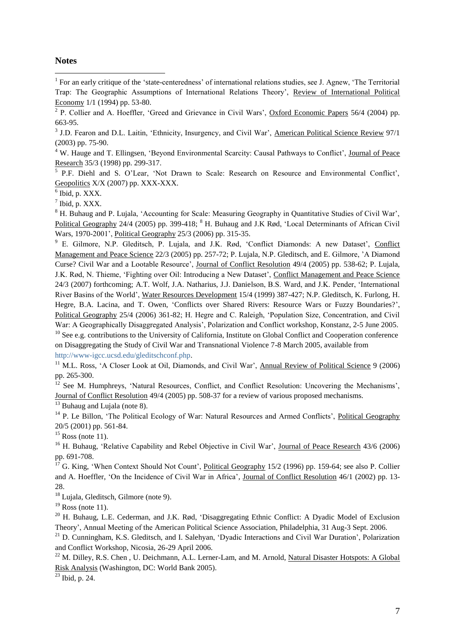## **Notes**

1

<sup>1</sup> For an early critique of the 'state-centeredness' of international relations studies, see J. Agnew, 'The Territorial Trap: The Geographic Assumptions of International Relations Theory', Review of International Political Economy 1/1 (1994) pp. 53-80.

<sup>2</sup> P. Collier and A. Hoeffler, 'Greed and Grievance in Civil Wars', Oxford Economic Papers 56/4 (2004) pp. 663-95.

<sup>3</sup> J.D. Fearon and D.L. Laitin, 'Ethnicity, Insurgency, and Civil War', American Political Science Review 97/1 (2003) pp. 75-90.

<sup>4</sup> W. Hauge and T. Ellingsen, 'Beyond Environmental Scarcity: Causal Pathways to Conflict', Journal of Peace Research 35/3 (1998) pp. 299-317.

<sup>5</sup> P.F. Diehl and S. O'Lear, 'Not Drawn to Scale: Research on Resource and Environmental Conflict', Geopolitics X/X (2007) pp. XXX-XXX.

 $<sup>6</sup>$  Ibid, p. XXX.</sup>

 $<sup>7</sup>$  Ibid, p. XXX.</sup>

<sup>8</sup> H. Buhaug and P. Lujala, 'Accounting for Scale: Measuring Geography in Quantitative Studies of Civil War', Political Geography 24/4 (2005) pp. 399-418; <sup>8</sup> H. Buhaug and J.K Rød, 'Local Determinants of African Civil Wars, 1970-2001', Political Geography 25/3 (2006) pp. 315-35.

<sup>9</sup> E. Gilmore, N.P. Gleditsch, P. Lujala, and J.K. Rød, 'Conflict Diamonds: A new Dataset', Conflict Management and Peace Science 22/3 (2005) pp. 257-72; P. Lujala, N.P. Gleditsch, and E. Gilmore, 'A Diamond Curse? Civil War and a Lootable Resource', Journal of Conflict Resolution 49/4 (2005) pp. 538-62; P. Lujala, J.K. Rød, N. Thieme, 'Fighting over Oil: Introducing a New Dataset', Conflict Management and Peace Science 24/3 (2007) forthcoming; A.T. Wolf, J.A. Natharius, J.J. Danielson, B.S. Ward, and J.K. Pender, 'International River Basins of the World', Water Resources Development 15/4 (1999) 387-427; N.P. Gleditsch, K. Furlong, H. Hegre, B.A. Lacina, and T. Owen, ['Conflicts over Shared Rivers: Resource Wars or Fuzzy Boundaries?'](http://www.prio.no/page/Publication_details/9429/47816.html), Political Geography 25/4 (2006) 361-82; H. Hegre and C. Raleigh, 'Population Size, Concentration, and Civil War: A Geographically Disaggregated Analysis', Polarization and Conflict workshop, Konstanz, 2-5 June 2005.  $10$  See e.g. contributions to the University of California, Institute on Global Conflict and Cooperation conference on Disaggregating the Study of Civil War and Transnational Violence 7-8 March 2005, available from

[http://www-igcc.ucsd.edu/gleditschconf.php.](http://www-igcc.ucsd.edu/gleditschconf.php)

<sup>11</sup> M.L. Ross, 'A Closer Look at Oil, Diamonds, and Civil War', Annual Review of Political Science 9 (2006) pp. 265-300.

<sup>12</sup> See M. Humphreys, 'Natural Resources, Conflict, and Conflict Resolution: Uncovering the Mechanisms', Journal of Conflict Resolution 49/4 (2005) pp. 508-37 for a review of various proposed mechanisms.

 $13$  Buhaug and Lujala (note 8).

<sup>14</sup> P. Le Billon, 'The Political Ecology of War: Natural Resources and Armed Conflicts', Political Geography 20/5 (2001) pp. 561-84.

 $15$  Ross (note 11).

<sup>16</sup> H. Buhaug, 'Relative Capability and Rebel Objective in Civil War', Journal of Peace Research 43/6 (2006) pp. 691-708.

 $17$  G. King, 'When Context Should Not Count', Political Geography 15/2 (1996) pp. 159-64; see also P. Collier and A. Hoeffler, 'On the Incidence of Civil War in Africa', Journal of Conflict Resolution 46/1 (2002) pp. 13- 28.

<sup>18</sup> Lujala, Gleditsch, Gilmore (note 9).

 $19$  Ross (note 11).

<sup>20</sup> H. Buhaug, L.E. Cederman, and J.K. Rød. 'Disaggregating Ethnic Conflict: A Dyadic Model of Exclusion Theory', Annual Meeting of the American Political Science Association, Philadelphia, 31 Aug-3 Sept. 2006.

<sup>21</sup> D. Cunningham, K.S. Gleditsch, and I. Salehyan, 'Dyadic Interactions and Civil War Duration', Polarization and Conflict Workshop, Nicosia, 26-29 April 2006.

<sup>22</sup> M. Dilley, R.S. Chen, U. Deichmann, A.L. Lerner-Lam, and M. Arnold, Natural Disaster Hotspots: A Global Risk Analysis (Washington, DC: World Bank 2005).

<sup>23</sup> Ibid, p. 24.